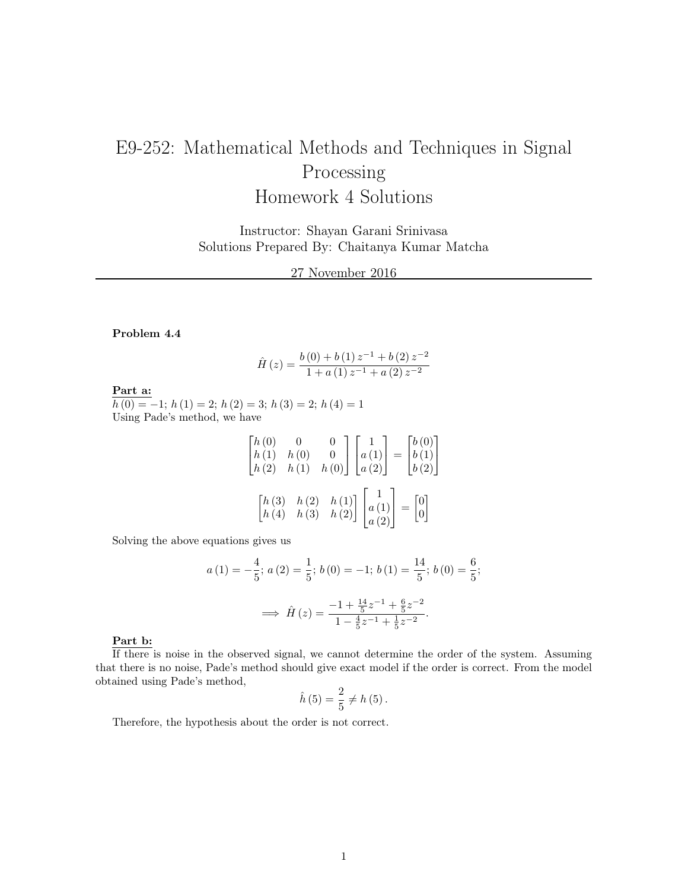# E9-252: Mathematical Methods and Techniques in Signal Processing Homework 4 Solutions

Instructor: Shayan Garani Srinivasa Solutions Prepared By: Chaitanya Kumar Matcha

27 November 2016

### Problem 4.4

$$
\hat{H}(z) = \frac{b(0) + b(1)z^{-1} + b(2)z^{-2}}{1 + a(1)z^{-1} + a(2)z^{-2}}
$$

Part a:

 $h(0) = -1$ ;  $h(1) = 2$ ;  $h(2) = 3$ ;  $h(3) = 2$ ;  $h(4) = 1$ Using Pade's method, we have

$$
\begin{bmatrix} h(0) & 0 & 0 \ h(1) & h(0) & 0 \ h(2) & h(1) & h(0) \end{bmatrix} \begin{bmatrix} 1 \ a(1) \ a(2) \end{bmatrix} = \begin{bmatrix} b(0) \ b(1) \ b(2) \end{bmatrix}
$$

$$
\begin{bmatrix} h(3) & h(2) & h(1) \ h(4) & h(3) & h(2) \end{bmatrix} \begin{bmatrix} 1 \ a(1) \ a(2) \end{bmatrix} = \begin{bmatrix} 0 \ 0 \end{bmatrix}
$$

Solving the above equations gives us

$$
a(1) = -\frac{4}{5}; a(2) = \frac{1}{5}; b(0) = -1; b(1) = \frac{14}{5}; b(0) = \frac{6}{5};
$$

$$
\implies \hat{H}(z) = \frac{-1 + \frac{14}{5}z^{-1} + \frac{6}{5}z^{-2}}{1 - \frac{4}{5}z^{-1} + \frac{1}{5}z^{-2}}.
$$

#### Part b:

If there is noise in the observed signal, we cannot determine the order of the system. Assuming that there is no noise, Pade's method should give exact model if the order is correct. From the model obtained using Pade's method,

$$
\hat{h}(5) = \frac{2}{5} \neq h(5).
$$

Therefore, the hypothesis about the order is not correct.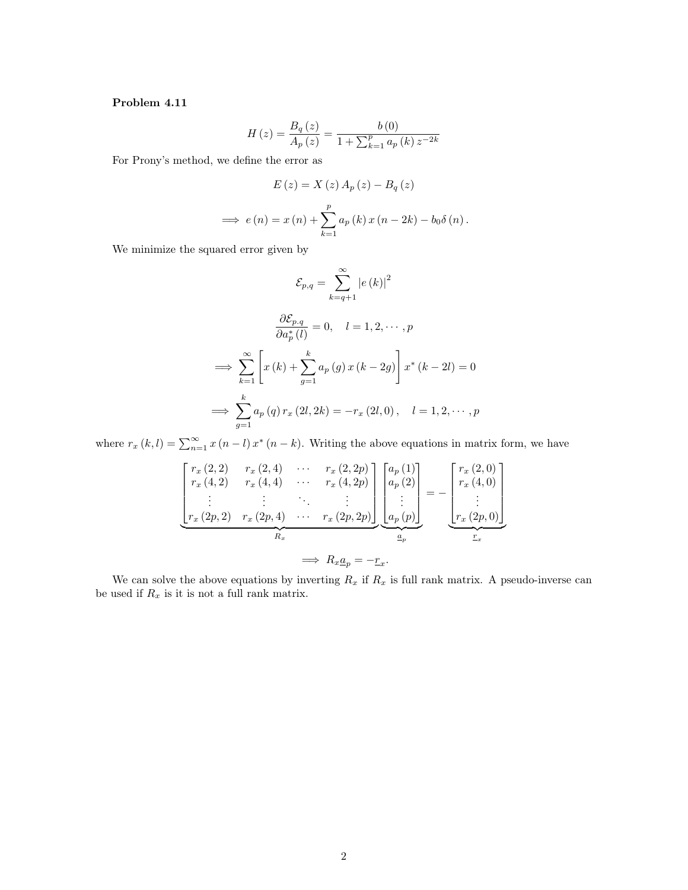#### Problem 4.11

$$
H(z) = \frac{B_q(z)}{A_p(z)} = \frac{b(0)}{1 + \sum_{k=1}^p a_p(k) z^{-2k}}
$$

For Prony's method, we define the error as

$$
E(z) = X(z) A_p(z) - B_q(z)
$$
  
\n
$$
\implies e(n) = x(n) + \sum_{k=1}^{p} a_p(k) x(n - 2k) - b_0 \delta(n).
$$

We minimize the squared error given by

$$
\mathcal{E}_{p,q} = \sum_{k=q+1}^{\infty} |e(k)|^2
$$

$$
\frac{\partial \mathcal{E}_{p,q}}{\partial a_p^*(l)} = 0, \quad l = 1, 2, \cdots, p
$$

$$
\implies \sum_{k=1}^{\infty} \left[ x(k) + \sum_{g=1}^k a_p(g) x(k-2g) \right] x^*(k-2l) = 0
$$

$$
\implies \sum_{g=1}^k a_p(q) r_x(2l, 2k) = -r_x(2l, 0), \quad l = 1, 2, \cdots, p
$$

where  $r_x(k, l) = \sum_{n=1}^{\infty} x(n-l)x^*(n-k)$ . Writing the above equations in matrix form, we have

$$
\begin{bmatrix}\nr_x(2,2) & r_x(2,4) & \cdots & r_x(2,2p) \\
r_x(4,2) & r_x(4,4) & \cdots & r_x(4,2p) \\
\vdots & \vdots & \ddots & \vdots \\
r_x(2p,2) & r_x(2p,4) & \cdots & r_x(2p,2p)\n\end{bmatrix}\n\begin{bmatrix}\na_p(1) \\
a_p(2) \\
\vdots \\
a_p(p)\n\end{bmatrix} = -\n\begin{bmatrix}\nr_x(2,0) \\
r_x(4,0) \\
\vdots \\
r_x(2p,0)\n\end{bmatrix}
$$
\n
$$
\implies R_x \underline{a}_p = -\underline{r}_x.
$$

We can solve the above equations by inverting  $R_x$  if  $R_x$  is full rank matrix. A pseudo-inverse can be used if  $R_x$  is it is not a full rank matrix.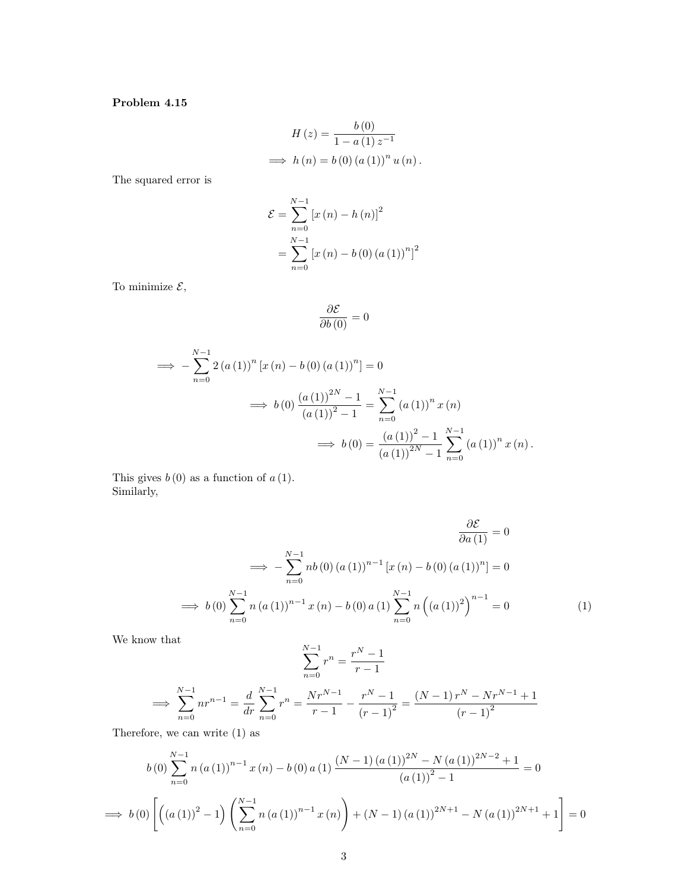## Problem 4.15

$$
H(z) = \frac{b(0)}{1 - a(1)z^{-1}}
$$
  
\n
$$
\implies h(n) = b(0) (a(1))^n u(n).
$$

The squared error is

$$
\mathcal{E} = \sum_{n=0}^{N-1} [x(n) - h(n)]^2
$$
  
= 
$$
\sum_{n=0}^{N-1} [x(n) - b(0) (a(1))^{n}]^2
$$

To minimize  $\mathcal{E},$ 

$$
\frac{\partial \mathcal{E}}{\partial b\left(0\right)}=0
$$

$$
\implies -\sum_{n=0}^{N-1} 2 (a (1))^n [x (n) - b (0) (a (1))^n] = 0
$$
  

$$
\implies b (0) \frac{(a (1))^{2N} - 1}{(a (1))^2 - 1} = \sum_{n=0}^{N-1} (a (1))^n x (n)
$$
  

$$
\implies b (0) = \frac{(a (1))^2 - 1}{(a (1))^2 - 1} \sum_{n=0}^{N-1} (a (1))^n x (n).
$$

This gives  $b(0)$  as a function of  $a(1)$ . Similarly,

$$
\frac{\partial \mathcal{E}}{\partial a(1)} = 0
$$
  
\n
$$
\implies -\sum_{n=0}^{N-1} nb(0) (a(1))^{n-1} [x(n) - b(0) (a(1))^{n}] = 0
$$
  
\n
$$
\implies b(0) \sum_{n=0}^{N-1} n (a(1))^{n-1} x(n) - b(0) a(1) \sum_{n=0}^{N-1} n ((a(1))^{2})^{n-1} = 0
$$
\n(1)

We know that

$$
\sum_{n=0}^{N-1} r^n = \frac{r^N - 1}{r - 1}
$$
  
\n
$$
\implies \sum_{n=0}^{N-1} n r^{n-1} = \frac{d}{dr} \sum_{n=0}^{N-1} r^n = \frac{Nr^{N-1}}{r - 1} - \frac{r^N - 1}{(r - 1)^2} = \frac{(N-1)r^N - Nr^{N-1} + 1}{(r - 1)^2}
$$

Therefore, we can write (1) as

$$
b(0) \sum_{n=0}^{N-1} n (a(1))^{n-1} x(n) - b(0) a(1) \frac{(N-1) (a(1))^{2N} - N (a(1))^{2N-2} + 1}{(a(1))^{2} - 1} = 0
$$
  
\n
$$
\implies b(0) \left[ \left( (a(1))^{2} - 1 \right) \left( \sum_{n=0}^{N-1} n (a(1))^{n-1} x(n) \right) + (N-1) (a(1))^{2N+1} - N (a(1))^{2N+1} + 1 \right] = 0
$$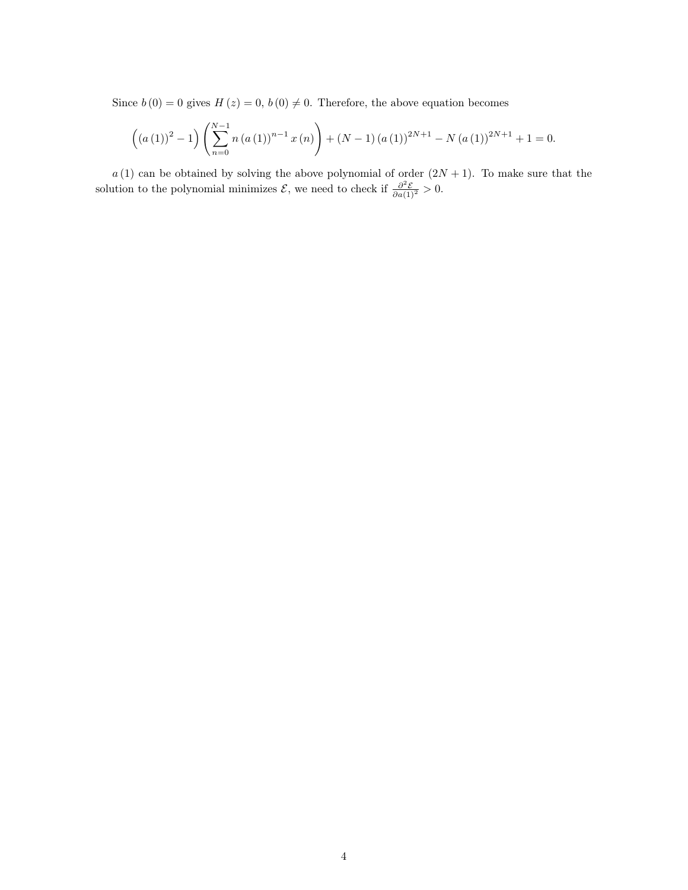Since  $b(0) = 0$  gives  $H(z) = 0$ ,  $b(0) \neq 0$ . Therefore, the above equation becomes

$$
((a (1))^{2} - 1) \left(\sum_{n=0}^{N-1} n (a (1))^{n-1} x (n)\right) + (N - 1) (a (1))^{2N+1} - N (a (1))^{2N+1} + 1 = 0.
$$

 $a(1)$  can be obtained by solving the above polynomial of order  $(2N + 1)$ . To make sure that the solution to the polynomial minimizes  $\mathcal{E}$ , we need to check if  $\frac{\partial^2 \mathcal{E}}{\partial a(1)^2} > 0$ .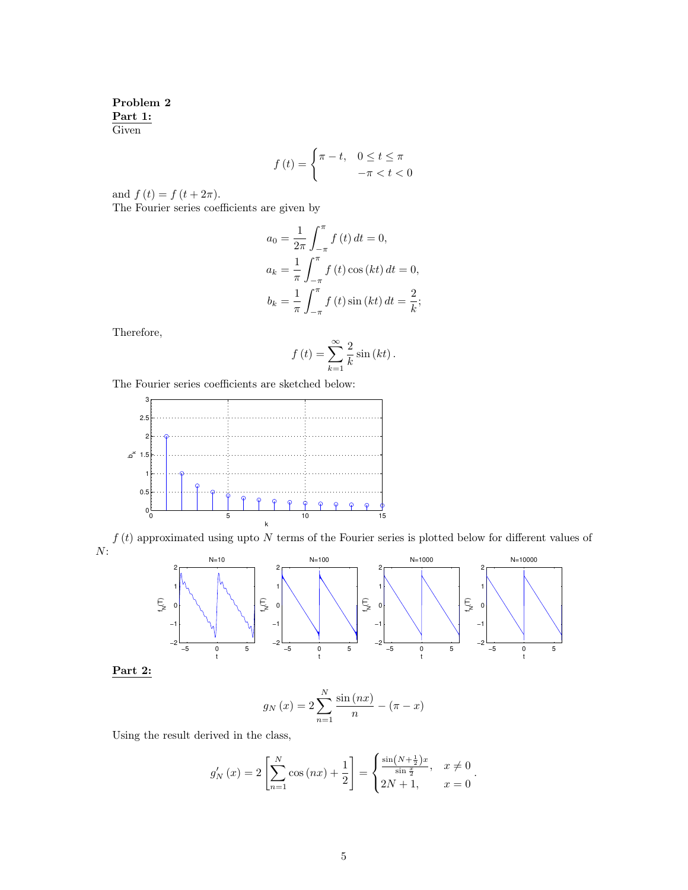Problem 2 Part 1: **Given** 

$$
f(t) = \begin{cases} \pi - t, & 0 \le t \le \pi \\ -\pi < t < 0 \end{cases}
$$

and  $f(t) = f(t + 2\pi)$ .

The Fourier series coefficients are given by

$$
a_0 = \frac{1}{2\pi} \int_{-\pi}^{\pi} f(t) dt = 0,
$$
  
\n
$$
a_k = \frac{1}{\pi} \int_{-\pi}^{\pi} f(t) \cos(kt) dt = 0,
$$
  
\n
$$
b_k = \frac{1}{\pi} \int_{-\pi}^{\pi} f(t) \sin(kt) dt = \frac{2}{k};
$$

Therefore,

$$
f(t) = \sum_{k=1}^{\infty} \frac{2}{k} \sin (kt).
$$

The Fourier series coefficients are sketched below:



 $f\left(t\right)$  approximated using upto  $N$  terms of the Fourier series is plotted below for different values of  $N$ :

−5 0 5 −2 −1 0 1 2 t  $f_{\mathbf{z}}(\mathbf{r})$  $N=10$ −5 0 5 −2 −1 0 1 2 t  $f_{\rm M}(\mathsf{T})$ N=100 −5 0 5 −2 −1 0 1 2 t  $\overline{f}$ <sub> $\overline{z}$ </sub> N=1000 −5 0 5 −2 −1 0 1 2 t  $\overline{\mathsf{F}}$ N=10000

Part 2:

$$
g_N(x) = 2\sum_{n=1}^{N} \frac{\sin(nx)}{n} - (\pi - x)
$$

Using the result derived in the class,

$$
g'_{N}(x) = 2\left[\sum_{n=1}^{N} \cos(nx) + \frac{1}{2}\right] = \begin{cases} \frac{\sin(N + \frac{1}{2})x}{\sin \frac{x}{2}}, & x \neq 0\\ 2N + 1, & x = 0 \end{cases}.
$$